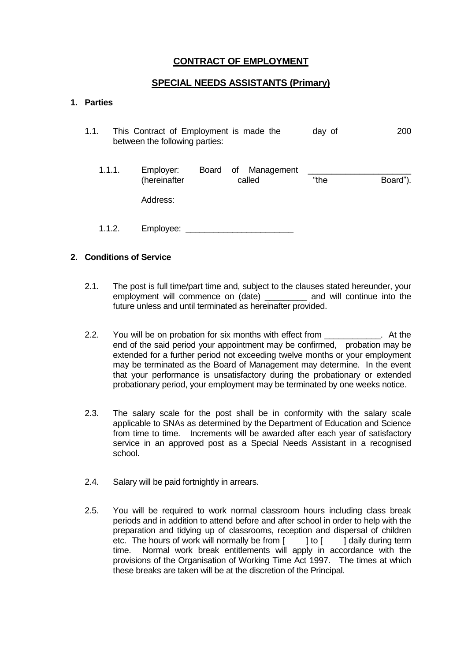# **CONTRACT OF EMPLOYMENT**

# **SPECIAL NEEDS ASSISTANTS (Primary)**

# **1. Parties**

1.1. This Contract of Employment is made the day of 200 between the following parties:

| 1.1.1. | Employer:    | Board of | Management |      |          |
|--------|--------------|----------|------------|------|----------|
|        | (hereinafter |          | called     | "the | Board"). |
|        | Address:     |          |            |      |          |
| 1.1.2. | Employee:    |          |            |      |          |

### **2. Conditions of Service**

- 2.1. The post is full time/part time and, subject to the clauses stated hereunder, your employment will commence on (date) \_\_\_\_\_\_\_\_\_ and will continue into the future unless and until terminated as hereinafter provided.
- 2.2. You will be on probation for six months with effect from \_\_\_\_\_\_\_\_\_\_\_\_\_\_. At the end of the said period your appointment may be confirmed, probation may be extended for a further period not exceeding twelve months or your employment may be terminated as the Board of Management may determine. In the event that your performance is unsatisfactory during the probationary or extended probationary period, your employment may be terminated by one weeks notice.
- 2.3. The salary scale for the post shall be in conformity with the salary scale applicable to SNAs as determined by the Department of Education and Science from time to time. Increments will be awarded after each year of satisfactory service in an approved post as a Special Needs Assistant in a recognised school.
- 2.4. Salary will be paid fortnightly in arrears.
- 2.5. You will be required to work normal classroom hours including class break periods and in addition to attend before and after school in order to help with the preparation and tidying up of classrooms, reception and dispersal of children etc. The hours of work will normally be from [ ] to [ ] daily during term time. Normal work break entitlements will apply in accordance with the provisions of the Organisation of Working Time Act 1997. The times at which these breaks are taken will be at the discretion of the Principal.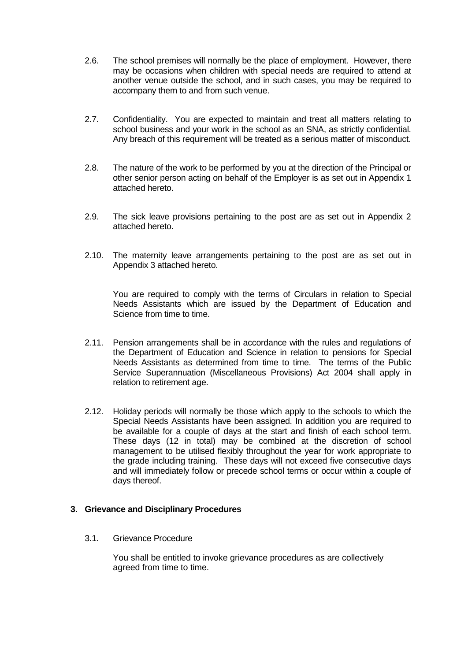- 2.6. The school premises will normally be the place of employment. However, there may be occasions when children with special needs are required to attend at another venue outside the school, and in such cases, you may be required to accompany them to and from such venue.
- 2.7. Confidentiality. You are expected to maintain and treat all matters relating to school business and your work in the school as an SNA, as strictly confidential. Any breach of this requirement will be treated as a serious matter of misconduct.
- 2.8. The nature of the work to be performed by you at the direction of the Principal or other senior person acting on behalf of the Employer is as set out in Appendix 1 attached hereto.
- 2.9. The sick leave provisions pertaining to the post are as set out in Appendix 2 attached hereto.
- 2.10. The maternity leave arrangements pertaining to the post are as set out in Appendix 3 attached hereto.

You are required to comply with the terms of Circulars in relation to Special Needs Assistants which are issued by the Department of Education and Science from time to time.

- 2.11. Pension arrangements shall be in accordance with the rules and regulations of the Department of Education and Science in relation to pensions for Special Needs Assistants as determined from time to time. The terms of the Public Service Superannuation (Miscellaneous Provisions) Act 2004 shall apply in relation to retirement age.
- 2.12. Holiday periods will normally be those which apply to the schools to which the Special Needs Assistants have been assigned. In addition you are required to be available for a couple of days at the start and finish of each school term. These days (12 in total) may be combined at the discretion of school management to be utilised flexibly throughout the year for work appropriate to the grade including training. These days will not exceed five consecutive days and will immediately follow or precede school terms or occur within a couple of days thereof.

#### **3. Grievance and Disciplinary Procedures**

3.1. Grievance Procedure

You shall be entitled to invoke grievance procedures as are collectively agreed from time to time.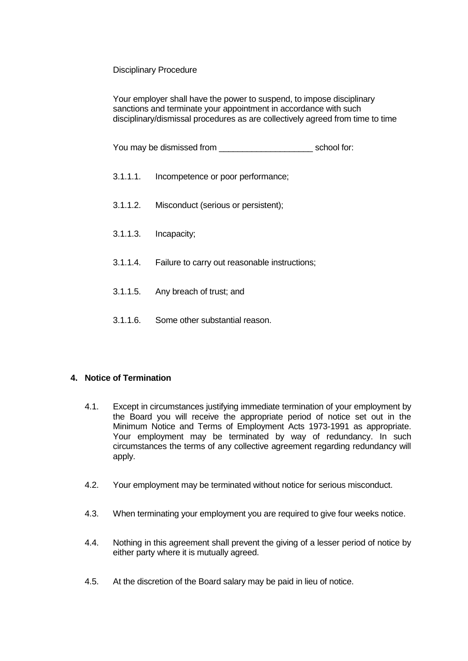## Disciplinary Procedure

Your employer shall have the power to suspend, to impose disciplinary sanctions and terminate your appointment in accordance with such disciplinary/dismissal procedures as are collectively agreed from time to time

You may be dismissed from example of the school for:

- 3.1.1.1. Incompetence or poor performance;
- 3.1.1.2. Misconduct (serious or persistent);
- 3.1.1.3. Incapacity;
- 3.1.1.4. Failure to carry out reasonable instructions;
- 3.1.1.5. Any breach of trust; and
- 3.1.1.6. Some other substantial reason.

## **4. Notice of Termination**

- 4.1. Except in circumstances justifying immediate termination of your employment by the Board you will receive the appropriate period of notice set out in the Minimum Notice and Terms of Employment Acts 1973-1991 as appropriate. Your employment may be terminated by way of redundancy. In such circumstances the terms of any collective agreement regarding redundancy will apply.
- 4.2. Your employment may be terminated without notice for serious misconduct.
- 4.3. When terminating your employment you are required to give four weeks notice.
- 4.4. Nothing in this agreement shall prevent the giving of a lesser period of notice by either party where it is mutually agreed.
- 4.5. At the discretion of the Board salary may be paid in lieu of notice.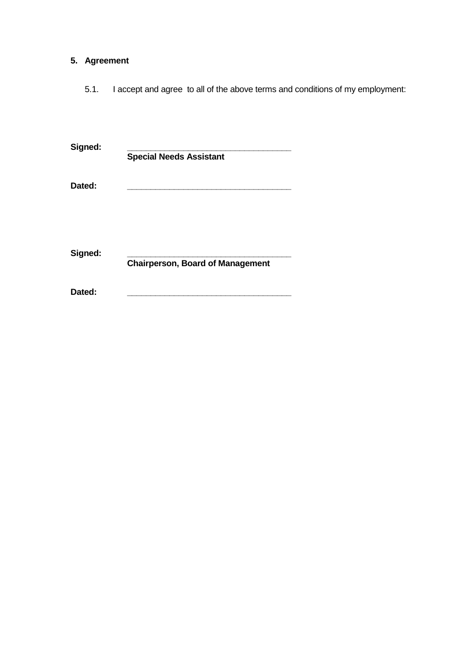# **5. Agreement**

5.1. I accept and agree to all of the above terms and conditions of my employment:

| Signed: | <b>Special Needs Assistant</b>          |
|---------|-----------------------------------------|
| Dated:  |                                         |
| Signed: | <b>Chairperson, Board of Management</b> |
| Dated:  |                                         |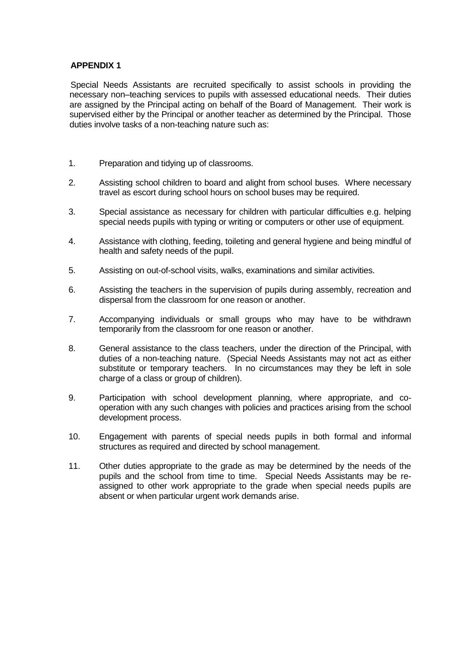## **APPENDIX 1**

Special Needs Assistants are recruited specifically to assist schools in providing the necessary non–teaching services to pupils with assessed educational needs. Their duties are assigned by the Principal acting on behalf of the Board of Management. Their work is supervised either by the Principal or another teacher as determined by the Principal. Those duties involve tasks of a non-teaching nature such as:

- 1. Preparation and tidying up of classrooms.
- 2. Assisting school children to board and alight from school buses. Where necessary travel as escort during school hours on school buses may be required.
- 3. Special assistance as necessary for children with particular difficulties e.g. helping special needs pupils with typing or writing or computers or other use of equipment.
- 4. Assistance with clothing, feeding, toileting and general hygiene and being mindful of health and safety needs of the pupil.
- 5. Assisting on out-of-school visits, walks, examinations and similar activities.
- 6. Assisting the teachers in the supervision of pupils during assembly, recreation and dispersal from the classroom for one reason or another.
- 7. Accompanying individuals or small groups who may have to be withdrawn temporarily from the classroom for one reason or another.
- 8. General assistance to the class teachers, under the direction of the Principal, with duties of a non-teaching nature. (Special Needs Assistants may not act as either substitute or temporary teachers. In no circumstances may they be left in sole charge of a class or group of children).
- 9. Participation with school development planning, where appropriate, and cooperation with any such changes with policies and practices arising from the school development process.
- 10. Engagement with parents of special needs pupils in both formal and informal structures as required and directed by school management.
- 11. Other duties appropriate to the grade as may be determined by the needs of the pupils and the school from time to time. Special Needs Assistants may be reassigned to other work appropriate to the grade when special needs pupils are absent or when particular urgent work demands arise.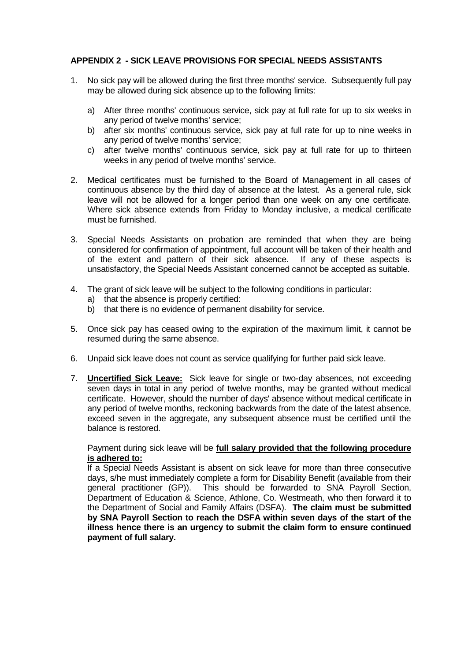# **APPENDIX 2 - SICK LEAVE PROVISIONS FOR SPECIAL NEEDS ASSISTANTS**

- 1. No sick pay will be allowed during the first three months' service. Subsequently full pay may be allowed during sick absence up to the following limits:
	- a) After three months' continuous service, sick pay at full rate for up to six weeks in any period of twelve months' service;
	- b) after six months' continuous service, sick pay at full rate for up to nine weeks in any period of twelve months' service;
	- c) after twelve months' continuous service, sick pay at full rate for up to thirteen weeks in any period of twelve months' service.
- 2. Medical certificates must be furnished to the Board of Management in all cases of continuous absence by the third day of absence at the latest. As a general rule, sick leave will not be allowed for a longer period than one week on any one certificate. Where sick absence extends from Friday to Monday inclusive, a medical certificate must be furnished.
- 3. Special Needs Assistants on probation are reminded that when they are being considered for confirmation of appointment, full account will be taken of their health and of the extent and pattern of their sick absence. If any of these aspects is unsatisfactory, the Special Needs Assistant concerned cannot be accepted as suitable.
- 4. The grant of sick leave will be subject to the following conditions in particular:
	- a) that the absence is properly certified:
	- b) that there is no evidence of permanent disability for service.
- 5. Once sick pay has ceased owing to the expiration of the maximum limit, it cannot be resumed during the same absence.
- 6. Unpaid sick leave does not count as service qualifying for further paid sick leave.
- 7. **Uncertified Sick Leave:** Sick leave for single or two-day absences, not exceeding seven days in total in any period of twelve months, may be granted without medical certificate. However, should the number of days' absence without medical certificate in any period of twelve months, reckoning backwards from the date of the latest absence, exceed seven in the aggregate, any subsequent absence must be certified until the balance is restored.

### Payment during sick leave will be **full salary provided that the following procedure is adhered to:**

If a Special Needs Assistant is absent on sick leave for more than three consecutive days, s/he must immediately complete a form for Disability Benefit (available from their general practitioner (GP)). This should be forwarded to SNA Payroll Section, Department of Education & Science, Athlone, Co. Westmeath, who then forward it to the Department of Social and Family Affairs (DSFA). **The claim must be submitted by SNA Payroll Section to reach the DSFA within seven days of the start of the illness hence there is an urgency to submit the claim form to ensure continued payment of full salary.**